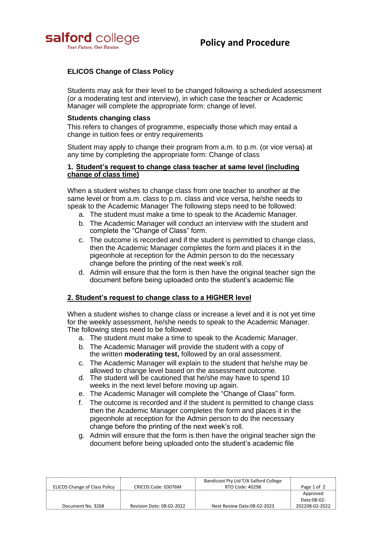

# **ELICOS Change of Class Policy**

Students may ask for their level to be changed following a scheduled assessment (or a moderating test and interview), in which case the teacher or Academic Manager will complete the appropriate form: change of level.

#### **Students changing class**

This refers to changes of programme, especially those which may entail a change in tuition fees or entry requirements

Student may apply to change their program from a.m. to p.m. (or vice versa) at any time by completing the appropriate form: Change of class

#### **1. Student's request to change class teacher at same level (including change of class time)**

When a student wishes to change class from one teacher to another at the same level or from a.m. class to p.m. class and vice versa, he/she needs to speak to the Academic Manager The following steps need to be followed:

- a. The student must make a time to speak to the Academic Manager.
- b. The Academic Manager will conduct an interview with the student and complete the "Change of Class" form.
- c. The outcome is recorded and if the student is permitted to change class, then the Academic Manager completes the form and places it in the pigeonhole at reception for the Admin person to do the necessary change before the printing of the next week's roll.
- d. Admin will ensure that the form is then have the original teacher sign the document before being uploaded onto the student's academic file

## **2. Student's request to change class to a HIGHER level**

When a student wishes to change class or increase a level and it is not yet time for the weekly assessment, he/she needs to speak to the Academic Manager. The following steps need to be followed:

- a. The student must make a time to speak to the Academic Manager.
- b. The Academic Manager will provide the student with a copy of the written **moderating test,** followed by an oral assessment.
- c. The Academic Manager will explain to the student that he/she may be allowed to change level based on the assessment outcome.
- d. The student will be cautioned that he/she may have to spend 10 weeks in the next level before moving up again.
- e. The Academic Manager will complete the "Change of Class" form.
- f. The outcome is recorded and if the student is permitted to change class then the Academic Manager completes the form and places it in the pigeonhole at reception for the Admin person to do the necessary change before the printing of the next week's roll.
- g. Admin will ensure that the form is then have the original teacher sign the document before being uploaded onto the student's academic file

| ELICOS Change of Class Policy | CRICOS Code: 03076M       | Bandicoot Pty Ltd T/A Salford College<br>RTO Code: 40298 | Page 1 of 2    |
|-------------------------------|---------------------------|----------------------------------------------------------|----------------|
|                               |                           |                                                          | Approved       |
|                               |                           |                                                          | Date:08-02-    |
| Document No. 3268             | Revision Date: 08-02-2022 | Next Review Date:08-02-2023                              | 202208-02-2022 |